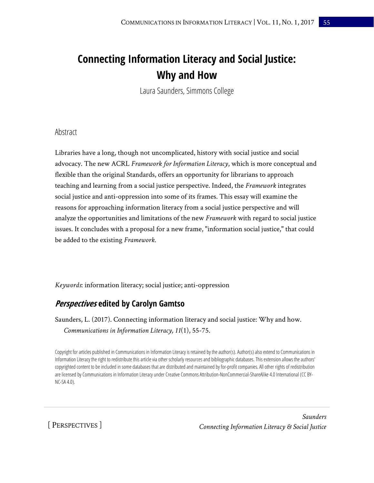# **Connecting Information Literacy and Social Justice: Why and How**

Laura Saunders, Simmons College

### Abstract

Libraries have a long, though not uncomplicated, history with social justice and social advocacy. The new ACRL *Framework for Information Literacy*, which is more conceptual and flexible than the original Standards, offers an opportunity for librarians to approach teaching and learning from a social justice perspective. Indeed, the *Framework* integrates social justice and anti-oppression into some of its frames. This essay will examine the reasons for approaching information literacy from a social justice perspective and will analyze the opportunities and limitations of the new *Framework* with regard to social justice issues. It concludes with a proposal for a new frame, "information social justice," that could be added to the existing *Framework*.

*Keywords*: information literacy; social justice; anti-oppression

# **Perspectives edited by Carolyn Gamtso**

Saunders, L. (2017). Connecting information literacy and social justice: Why and how. *Communications in Information Literacy, 11*(1), 55-75.

Copyright for articles published in Communications in Information Literacy is retained by the author(s). Author(s) also extend to Communications in Information Literacy the right to redistribute this article via other scholarly resources and bibliographic databases. This extension allows the authors' copyrighted content to be included in some databases that are distributed and maintained by for-profit companies. All other rights of redistribution are licensed by Communications in Information Literacy under Creative Commons Attribution-NonCommercial-ShareAlike 4.0 International (CC BY-NC-SA 4.0).

[ PERSPECTIVES ]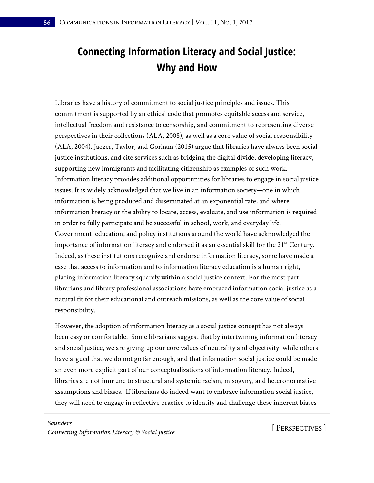# **Connecting Information Literacy and Social Justice: Why and How**

Libraries have a history of commitment to social justice principles and issues. This commitment is supported by an ethical code that promotes equitable access and service, intellectual freedom and resistance to censorship, and commitment to representing diverse perspectives in their collections (ALA, 2008), as well as a core value of social responsibility (ALA, 2004). Jaeger, Taylor, and Gorham (2015) argue that libraries have always been social justice institutions, and cite services such as bridging the digital divide, developing literacy, supporting new immigrants and facilitating citizenship as examples of such work. Information literacy provides additional opportunities for libraries to engage in social justice issues. It is widely acknowledged that we live in an information society—one in which information is being produced and disseminated at an exponential rate, and where information literacy or the ability to locate, access, evaluate, and use information is required in order to fully participate and be successful in school, work, and everyday life. Government, education, and policy institutions around the world have acknowledged the importance of information literacy and endorsed it as an essential skill for the  $21<sup>st</sup>$  Century. Indeed, as these institutions recognize and endorse information literacy, some have made a case that access to information and to information literacy education is a human right, placing information literacy squarely within a social justice context. For the most part librarians and library professional associations have embraced information social justice as a natural fit for their educational and outreach missions, as well as the core value of social responsibility.

However, the adoption of information literacy as a social justice concept has not always been easy or comfortable. Some librarians suggest that by intertwining information literacy and social justice, we are giving up our core values of neutrality and objectivity, while others have argued that we do not go far enough, and that information social justice could be made an even more explicit part of our conceptualizations of information literacy. Indeed, libraries are not immune to structural and systemic racism, misogyny, and heteronormative assumptions and biases. If librarians do indeed want to embrace information social justice, they will need to engage in reflective practice to identify and challenge these inherent biases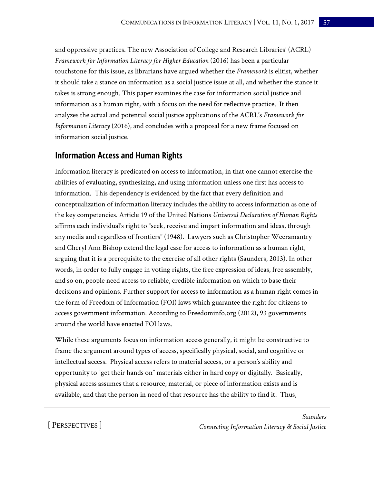and oppressive practices. The new Association of College and Research Libraries' (ACRL) *Framework for Information Literacy for Higher Education* (2016) has been a particular touchstone for this issue, as librarians have argued whether the *Framework* is elitist, whether it should take a stance on information as a social justice issue at all, and whether the stance it takes is strong enough. This paper examines the case for information social justice and information as a human right, with a focus on the need for reflective practice. It then analyzes the actual and potential social justice applications of the ACRL's *Framework for Information Literacy* (2016), and concludes with a proposal for a new frame focused on information social justice.

## **Information Access and Human Rights**

Information literacy is predicated on access to information, in that one cannot exercise the abilities of evaluating, synthesizing, and using information unless one first has access to information. This dependency is evidenced by the fact that every definition and conceptualization of information literacy includes the ability to access information as one of the key competencies. Article 19 of the United Nations *Universal Declaration of Human Rights* affirms each individual's right to "seek, receive and impart information and ideas, through any media and regardless of frontiers" (1948). Lawyers such as Christopher Weeramantry and Cheryl Ann Bishop extend the legal case for access to information as a human right, arguing that it is a prerequisite to the exercise of all other rights (Saunders, 2013). In other words, in order to fully engage in voting rights, the free expression of ideas, free assembly, and so on, people need access to reliable, credible information on which to base their decisions and opinions. Further support for access to information as a human right comes in the form of Freedom of Information (FOI) laws which guarantee the right for citizens to access government information. According to Freedominfo.org (2012), 93 governments around the world have enacted FOI laws.

While these arguments focus on information access generally, it might be constructive to frame the argument around types of access, specifically physical, social, and cognitive or intellectual access. Physical access refers to material access, or a person's ability and opportunity to "get their hands on" materials either in hard copy or digitally. Basically, physical access assumes that a resource, material, or piece of information exists and is available, and that the person in need of that resource has the ability to find it. Thus,

[ PERSPECTIVES ]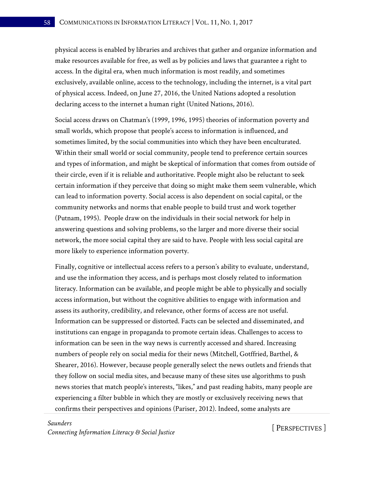physical access is enabled by libraries and archives that gather and organize information and make resources available for free, as well as by policies and laws that guarantee a right to access. In the digital era, when much information is most readily, and sometimes exclusively, available online, access to the technology, including the internet, is a vital part of physical access. Indeed, on June 27, 2016, the United Nations adopted a resolution declaring access to the internet a human right (United Nations, 2016).

Social access draws on Chatman's (1999, 1996, 1995) theories of information poverty and small worlds, which propose that people's access to information is influenced, and sometimes limited, by the social communities into which they have been enculturated. Within their small world or social community, people tend to preference certain sources and types of information, and might be skeptical of information that comes from outside of their circle, even if it is reliable and authoritative. People might also be reluctant to seek certain information if they perceive that doing so might make them seem vulnerable, which can lead to information poverty. Social access is also dependent on social capital, or the community networks and norms that enable people to build trust and work together (Putnam, 1995). People draw on the individuals in their social network for help in answering questions and solving problems, so the larger and more diverse their social network, the more social capital they are said to have. People with less social capital are more likely to experience information poverty.

Finally, cognitive or intellectual access refers to a person's ability to evaluate, understand, and use the information they access, and is perhaps most closely related to information literacy. Information can be available, and people might be able to physically and socially access information, but without the cognitive abilities to engage with information and assess its authority, credibility, and relevance, other forms of access are not useful. Information can be suppressed or distorted. Facts can be selected and disseminated, and institutions can engage in propaganda to promote certain ideas. Challenges to access to information can be seen in the way news is currently accessed and shared. Increasing numbers of people rely on social media for their news (Mitchell, Gotffried, Barthel, & Shearer, 2016). However, because people generally select the news outlets and friends that they follow on social media sites, and because many of these sites use algorithms to push news stories that match people's interests, "likes," and past reading habits, many people are experiencing a filter bubble in which they are mostly or exclusively receiving news that confirms their perspectives and opinions (Pariser, 2012). Indeed, some analysts are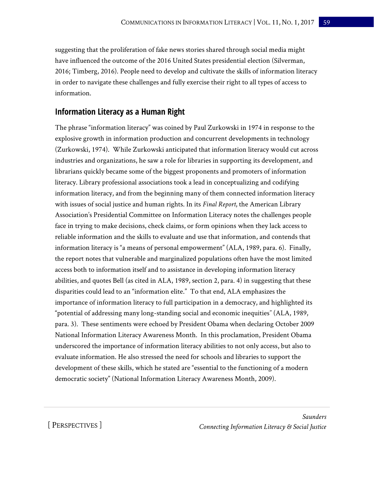suggesting that the proliferation of fake news stories shared through social media might have influenced the outcome of the 2016 United States presidential election (Silverman, 2016; Timberg, 2016). People need to develop and cultivate the skills of information literacy in order to navigate these challenges and fully exercise their right to all types of access to information.

# **Information Literacy as a Human Right**

The phrase "information literacy" was coined by Paul Zurkowski in 1974 in response to the explosive growth in information production and concurrent developments in technology (Zurkowski, 1974). While Zurkowski anticipated that information literacy would cut across industries and organizations, he saw a role for libraries in supporting its development, and librarians quickly became some of the biggest proponents and promoters of information literacy. Library professional associations took a lead in conceptualizing and codifying information literacy, and from the beginning many of them connected information literacy with issues of social justice and human rights. In its *Final Report*, the American Library Association's Presidential Committee on Information Literacy notes the challenges people face in trying to make decisions, check claims, or form opinions when they lack access to reliable information and the skills to evaluate and use that information, and contends that information literacy is "a means of personal empowerment" (ALA, 1989, para. 6). Finally, the report notes that vulnerable and marginalized populations often have the most limited access both to information itself and to assistance in developing information literacy abilities, and quotes Bell (as cited in ALA, 1989, section 2, para. 4) in suggesting that these disparities could lead to an "information elite." To that end, ALA emphasizes the importance of information literacy to full participation in a democracy, and highlighted its "potential of addressing many long-standing social and economic inequities" (ALA, 1989, para. 3). These sentiments were echoed by President Obama when declaring October 2009 National Information Literacy Awareness Month. In this proclamation, President Obama underscored the importance of information literacy abilities to not only access, but also to evaluate information. He also stressed the need for schools and libraries to support the development of these skills, which he stated are "essential to the functioning of a modern democratic society" (National Information Literacy Awareness Month, 2009).

## [ PERSPECTIVES ]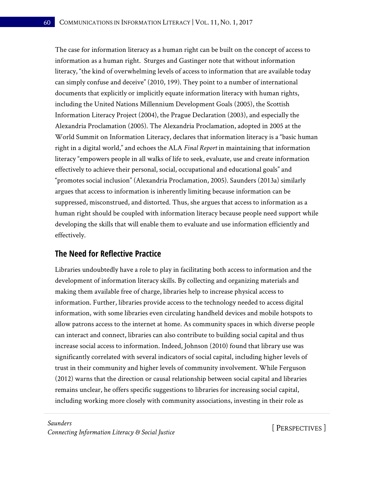The case for information literacy as a human right can be built on the concept of access to information as a human right. Sturges and Gastinger note that without information literacy, "the kind of overwhelming levels of access to information that are available today can simply confuse and deceive" (2010, 199). They point to a number of international documents that explicitly or implicitly equate information literacy with human rights, including the United Nations Millennium Development Goals (2005), the Scottish Information Literacy Project (2004), the Prague Declaration (2003), and especially the Alexandria Proclamation (2005). The Alexandria Proclamation, adopted in 2005 at the World Summit on Information Literacy, declares that information literacy is a "basic human right in a digital world," and echoes the ALA *Final Report* in maintaining that information literacy "empowers people in all walks of life to seek, evaluate, use and create information effectively to achieve their personal, social, occupational and educational goals" and "promotes social inclusion" (Alexandria Proclamation, 2005). Saunders (2013a) similarly argues that access to information is inherently limiting because information can be suppressed, misconstrued, and distorted. Thus, she argues that access to information as a human right should be coupled with information literacy because people need support while developing the skills that will enable them to evaluate and use information efficiently and effectively.

# **The Need for Reflective Practice**

Libraries undoubtedly have a role to play in facilitating both access to information and the development of information literacy skills. By collecting and organizing materials and making them available free of charge, libraries help to increase physical access to information. Further, libraries provide access to the technology needed to access digital information, with some libraries even circulating handheld devices and mobile hotspots to allow patrons access to the internet at home. As community spaces in which diverse people can interact and connect, libraries can also contribute to building social capital and thus increase social access to information. Indeed, Johnson (2010) found that library use was significantly correlated with several indicators of social capital, including higher levels of trust in their community and higher levels of community involvement. While Ferguson (2012) warns that the direction or causal relationship between social capital and libraries remains unclear, he offers specific suggestions to libraries for increasing social capital, including working more closely with community associations, investing in their role as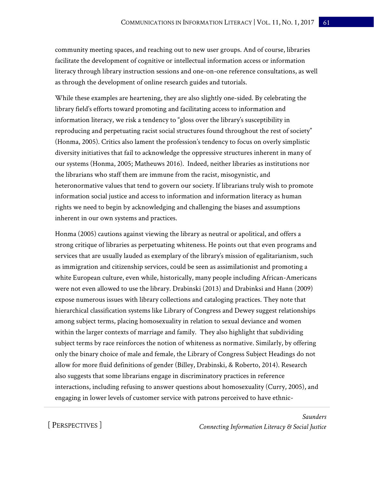community meeting spaces, and reaching out to new user groups. And of course, libraries facilitate the development of cognitive or intellectual information access or information literacy through library instruction sessions and one-on-one reference consultations, as well as through the development of online research guides and tutorials.

While these examples are heartening, they are also slightly one-sided. By celebrating the library field's efforts toward promoting and facilitating access to information and information literacy, we risk a tendency to "gloss over the library's susceptibility in reproducing and perpetuating racist social structures found throughout the rest of society" (Honma, 2005). Critics also lament the profession's tendency to focus on overly simplistic diversity initiatives that fail to acknowledge the oppressive structures inherent in many of our systems (Honma, 2005; Matheuws 2016). Indeed, neither libraries as institutions nor the librarians who staff them are immune from the racist, misogynistic, and heteronormative values that tend to govern our society. If librarians truly wish to promote information social justice and access to information and information literacy as human rights we need to begin by acknowledging and challenging the biases and assumptions inherent in our own systems and practices.

Honma (2005) cautions against viewing the library as neutral or apolitical, and offers a strong critique of libraries as perpetuating whiteness. He points out that even programs and services that are usually lauded as exemplary of the library's mission of egalitarianism, such as immigration and citizenship services, could be seen as assimilationist and promoting a white European culture, even while, historically, many people including African-Americans were not even allowed to use the library. Drabinski (2013) and Drabinksi and Hann (2009) expose numerous issues with library collections and cataloging practices. They note that hierarchical classification systems like Library of Congress and Dewey suggest relationships among subject terms, placing homosexuality in relation to sexual deviance and women within the larger contexts of marriage and family. They also highlight that subdividing subject terms by race reinforces the notion of whiteness as normative. Similarly, by offering only the binary choice of male and female, the Library of Congress Subject Headings do not allow for more fluid definitions of gender (Billey, Drabinski, & Roberto, 2014). Research also suggests that some librarians engage in discriminatory practices in reference interactions, including refusing to answer questions about homosexuality (Curry, 2005), and engaging in lower levels of customer service with patrons perceived to have ethnic-

[ PERSPECTIVES ]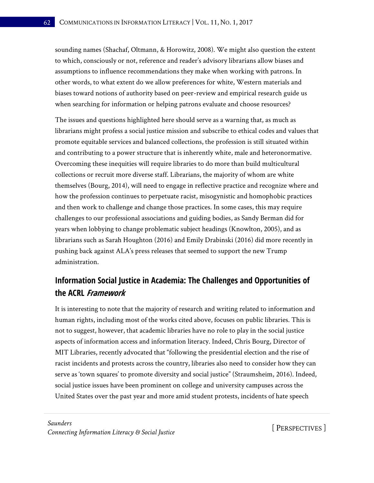sounding names (Shachaf, Oltmann, & Horowitz, 2008). We might also question the extent to which, consciously or not, reference and reader's advisory librarians allow biases and assumptions to influence recommendations they make when working with patrons. In other words, to what extent do we allow preferences for white, Western materials and biases toward notions of authority based on peer-review and empirical research guide us when searching for information or helping patrons evaluate and choose resources?

The issues and questions highlighted here should serve as a warning that, as much as librarians might profess a social justice mission and subscribe to ethical codes and values that promote equitable services and balanced collections, the profession is still situated within and contributing to a power structure that is inherently white, male and heteronormative. Overcoming these inequities will require libraries to do more than build multicultural collections or recruit more diverse staff. Librarians, the majority of whom are white themselves (Bourg, 2014), will need to engage in reflective practice and recognize where and how the profession continues to perpetuate racist, misogynistic and homophobic practices and then work to challenge and change those practices. In some cases, this may require challenges to our professional associations and guiding bodies, as Sandy Berman did for years when lobbying to change problematic subject headings (Knowlton, 2005), and as librarians such as Sarah Houghton (2016) and Emily Drabinski (2016) did more recently in pushing back against ALA's press releases that seemed to support the new Trump administration.

# **Information Social Justice in Academia: The Challenges and Opportunities of the ACRL Framework**

It is interesting to note that the majority of research and writing related to information and human rights, including most of the works cited above, focuses on public libraries. This is not to suggest, however, that academic libraries have no role to play in the social justice aspects of information access and information literacy. Indeed, Chris Bourg, Director of MIT Libraries, recently advocated that "following the presidential election and the rise of racist incidents and protests across the country, libraries also need to consider how they can serve as 'town squares' to promote diversity and social justice" (Straumsheim, 2016). Indeed, social justice issues have been prominent on college and university campuses across the United States over the past year and more amid student protests, incidents of hate speech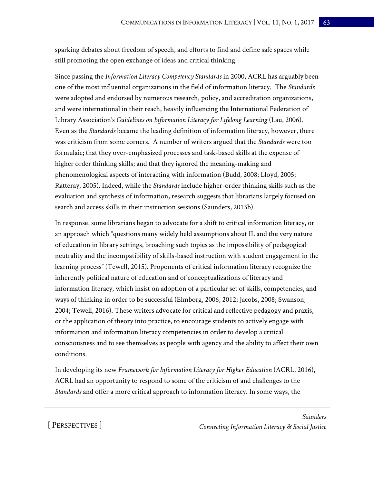sparking debates about freedom of speech, and efforts to find and define safe spaces while still promoting the open exchange of ideas and critical thinking.

Since passing the *Information Literacy Competency Standards* in 2000, ACRL has arguably been one of the most influential organizations in the field of information literacy. The *Standards* were adopted and endorsed by numerous research, policy, and accreditation organizations, and were international in their reach, heavily influencing the International Federation of Library Association's *Guidelines on Information Literacy for Lifelong Learning* (Lau, 2006). Even as the *Standards* became the leading definition of information literacy, however, there was criticism from some corners. A number of writers argued that the *Standards* were too formulaic; that they over-emphasized processes and task-based skills at the expense of higher order thinking skills; and that they ignored the meaning-making and phenomenological aspects of interacting with information (Budd, 2008; Lloyd, 2005; Ratteray, 2005). Indeed, while the *Standards* include higher-order thinking skills such as the evaluation and synthesis of information, research suggests that librarians largely focused on search and access skills in their instruction sessions (Saunders, 2013b).

In response, some librarians began to advocate for a shift to critical information literacy, or an approach which "questions many widely held assumptions about IL and the very nature of education in library settings, broaching such topics as the impossibility of pedagogical neutrality and the incompatibility of skills-based instruction with student engagement in the learning process" (Tewell, 2015). Proponents of critical information literacy recognize the inherently political nature of education and of conceptualizations of literacy and information literacy, which insist on adoption of a particular set of skills, competencies, and ways of thinking in order to be successful (Elmborg, 2006, 2012; Jacobs, 2008; Swanson, 2004; Tewell, 2016). These writers advocate for critical and reflective pedagogy and praxis, or the application of theory into practice, to encourage students to actively engage with information and information literacy competencies in order to develop a critical consciousness and to see themselves as people with agency and the ability to affect their own conditions.

In developing its new *Framework for Information Literacy for Higher Education* (ACRL, 2016), ACRL had an opportunity to respond to some of the criticism of and challenges to the *Standards* and offer a more critical approach to information literacy. In some ways, the

[ PERSPECTIVES ]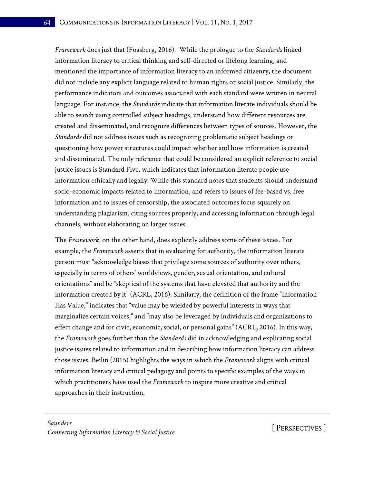*Framework* does just that (Foasberg, 2016). While the prologue to the *Standards* linked information literacy to critical thinking and self-directed or lifelong learning, and mentioned the importance of information literacy to an informed citizenry, the document did not include any explicit language related to human rights or social justice. Similarly, the performance indicators and outcomes associated with each standard were written in neutral language. For instance, the *Standards* indicate that information literate individuals should be able to search using controlled subject headings, understand how different resources are created and disseminated, and recognize differences between types of sources. However, the *Standards* did not address issues such as recognizing problematic subject headings or questioning how power structures could impact whether and how information is created and disseminated. The only reference that could be considered an explicit reference to social justice issues is Standard Five, which indicates that information literate people use information ethically and legally. While this standard notes that students should understand socio-economic impacts related to information, and refers to issues of fee-based vs. free information and to issues of censorship, the associated outcomes focus squarely on understanding plagiarism, citing sources properly, and accessing information through legal channels, without elaborating on larger issues.

The *Framework*, on the other hand, does explicitly address some of these issues. For example, the *Framework* asserts that in evaluating for authority, the information literate person must "acknowledge biases that privilege some sources of authority over others, especially in terms of others' worldviews, gender, sexual orientation, and cultural orientations" and be "skeptical of the systems that have elevated that authority and the information created by it" (ACRL, 2016). Similarly, the definition of the frame "Information Has Value," indicates that "value may be wielded by powerful interests in ways that marginalize certain voices," and "may also be leveraged by individuals and organizations to effect change and for civic, economic, social, or personal gains" (ACRL, 2016). In this way, the *Framework* goes further than the *Standards* did in acknowledging and explicating social justice issues related to information and in describing how information literacy can address those issues. Beilin (2015) highlights the ways in which the *Framework* aligns with critical information literacy and critical pedagogy and points to specific examples of the ways in which practitioners have used the *Framework* to inspire more creative and critical approaches in their instruction.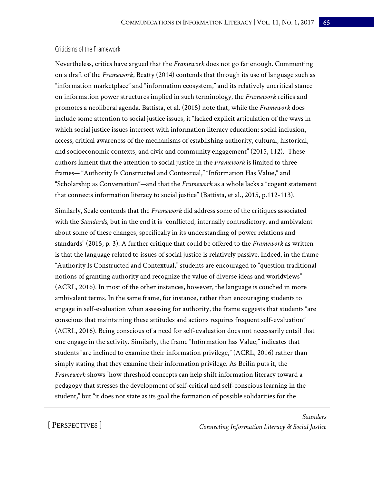#### Criticisms of the Framework

Nevertheless, critics have argued that the *Framework* does not go far enough. Commenting on a draft of the *Framework*, Beatty (2014) contends that through its use of language such as "information marketplace" and "information ecosystem," and its relatively uncritical stance on information power structures implied in such terminology, the *Framework* reifies and promotes a neoliberal agenda. Battista, et al. (2015) note that, while the *Framework* does include some attention to social justice issues, it "lacked explicit articulation of the ways in which social justice issues intersect with information literacy education: social inclusion, access, critical awareness of the mechanisms of establishing authority, cultural, historical, and socioeconomic contexts, and civic and community engagement" (2015, 112). These authors lament that the attention to social justice in the *Framework* is limited to three frames— "Authority Is Constructed and Contextual," "Information Has Value," and "Scholarship as Conversation"—and that the *Framework* as a whole lacks a "cogent statement that connects information literacy to social justice" (Battista, et al., 2015, p.112-113).

Similarly, Seale contends that the *Framework* did address some of the critiques associated with the *Standards*, but in the end it is "conflicted, internally contradictory, and ambivalent about some of these changes, specifically in its understanding of power relations and standards" (2015, p. 3). A further critique that could be offered to the *Framework* as written is that the language related to issues of social justice is relatively passive. Indeed, in the frame "Authority Is Constructed and Contextual," students are encouraged to "question traditional notions of granting authority and recognize the value of diverse ideas and worldviews" (ACRL, 2016). In most of the other instances, however, the language is couched in more ambivalent terms. In the same frame, for instance, rather than encouraging students to engage in self-evaluation when assessing for authority, the frame suggests that students "are conscious that maintaining these attitudes and actions requires frequent self-evaluation" (ACRL, 2016). Being conscious of a need for self-evaluation does not necessarily entail that one engage in the activity. Similarly, the frame "Information has Value," indicates that students "are inclined to examine their information privilege," (ACRL, 2016) rather than simply stating that they examine their information privilege. As Beilin puts it, the *Framework* shows "how threshold concepts can help shift information literacy toward a pedagogy that stresses the development of self-critical and self-conscious learning in the student," but "it does not state as its goal the formation of possible solidarities for the

[ PERSPECTIVES ]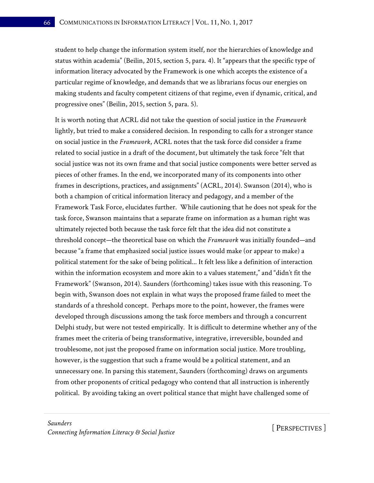student to help change the information system itself, nor the hierarchies of knowledge and status within academia" (Beilin, 2015, section 5, para. 4). It "appears that the specific type of information literacy advocated by the Framework is one which accepts the existence of a particular regime of knowledge, and demands that we as librarians focus our energies on making students and faculty competent citizens of that regime, even if dynamic, critical, and progressive ones" (Beilin, 2015, section 5, para. 5).

It is worth noting that ACRL did not take the question of social justice in the *Framework*  lightly, but tried to make a considered decision. In responding to calls for a stronger stance on social justice in the *Framework*, ACRL notes that the task force did consider a frame related to social justice in a draft of the document, but ultimately the task force "felt that social justice was not its own frame and that social justice components were better served as pieces of other frames. In the end, we incorporated many of its components into other frames in descriptions, practices, and assignments" (ACRL, 2014). Swanson (2014), who is both a champion of critical information literacy and pedagogy, and a member of the Framework Task Force, elucidates further. While cautioning that he does not speak for the task force, Swanson maintains that a separate frame on information as a human right was ultimately rejected both because the task force felt that the idea did not constitute a threshold concept—the theoretical base on which the *Framework* was initially founded—and because "a frame that emphasized social justice issues would make (or appear to make) a political statement for the sake of being political... It felt less like a definition of interaction within the information ecosystem and more akin to a values statement," and "didn't fit the Framework" (Swanson, 2014). Saunders (forthcoming) takes issue with this reasoning. To begin with, Swanson does not explain in what ways the proposed frame failed to meet the standards of a threshold concept. Perhaps more to the point, however, the frames were developed through discussions among the task force members and through a concurrent Delphi study, but were not tested empirically. It is difficult to determine whether any of the frames meet the criteria of being transformative, integrative, irreversible, bounded and troublesome, not just the proposed frame on information social justice. More troubling, however, is the suggestion that such a frame would be a political statement, and an unnecessary one. In parsing this statement, Saunders (forthcoming) draws on arguments from other proponents of critical pedagogy who contend that all instruction is inherently political. By avoiding taking an overt political stance that might have challenged some of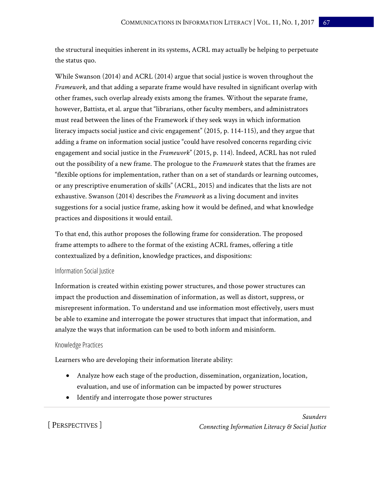the structural inequities inherent in its systems, ACRL may actually be helping to perpetuate the status quo.

While Swanson (2014) and ACRL (2014) argue that social justice is woven throughout the *Framework*, and that adding a separate frame would have resulted in significant overlap with other frames, such overlap already exists among the frames. Without the separate frame, however, Battista, et al. argue that "librarians, other faculty members, and administrators must read between the lines of the Framework if they seek ways in which information literacy impacts social justice and civic engagement" (2015, p. 114-115), and they argue that adding a frame on information social justice "could have resolved concerns regarding civic engagement and social justice in the *Framework*" (2015, p. 114). Indeed, ACRL has not ruled out the possibility of a new frame. The prologue to the *Framework* states that the frames are "flexible options for implementation, rather than on a set of standards or learning outcomes, or any prescriptive enumeration of skills" (ACRL, 2015) and indicates that the lists are not exhaustive. Swanson (2014) describes the *Framework* as a living document and invites suggestions for a social justice frame, asking how it would be defined, and what knowledge practices and dispositions it would entail.

To that end, this author proposes the following frame for consideration. The proposed frame attempts to adhere to the format of the existing ACRL frames, offering a title contextualized by a definition, knowledge practices, and dispositions:

### Information Social Justice

Information is created within existing power structures, and those power structures can impact the production and dissemination of information, as well as distort, suppress, or misrepresent information. To understand and use information most effectively, users must be able to examine and interrogate the power structures that impact that information, and analyze the ways that information can be used to both inform and misinform.

#### Knowledge Practices

Learners who are developing their information literate ability:

- Analyze how each stage of the production, dissemination, organization, location, evaluation, and use of information can be impacted by power structures
- Identify and interrogate those power structures

[ PERSPECTIVES ]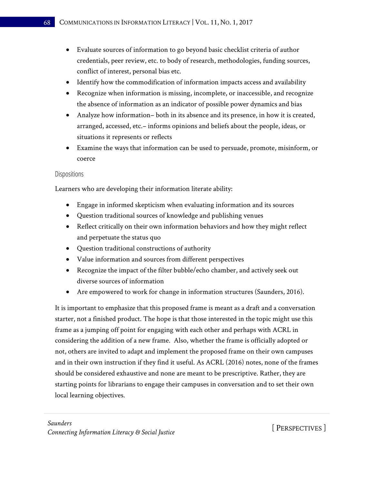- Evaluate sources of information to go beyond basic checklist criteria of author credentials, peer review, etc. to body of research, methodologies, funding sources, conflict of interest, personal bias etc.
- Identify how the commodification of information impacts access and availability
- Recognize when information is missing, incomplete, or inaccessible, and recognize the absence of information as an indicator of possible power dynamics and bias
- Analyze how information– both in its absence and its presence, in how it is created, arranged, accessed, etc.– informs opinions and beliefs about the people, ideas, or situations it represents or reflects
- Examine the ways that information can be used to persuade, promote, misinform, or coerce

### Dispositions

Learners who are developing their information literate ability:

- Engage in informed skepticism when evaluating information and its sources
- Question traditional sources of knowledge and publishing venues
- Reflect critically on their own information behaviors and how they might reflect and perpetuate the status quo
- Question traditional constructions of authority
- Value information and sources from different perspectives
- Recognize the impact of the filter bubble/echo chamber, and actively seek out diverse sources of information
- Are empowered to work for change in information structures (Saunders, 2016).

It is important to emphasize that this proposed frame is meant as a draft and a conversation starter, not a finished product. The hope is that those interested in the topic might use this frame as a jumping off point for engaging with each other and perhaps with ACRL in considering the addition of a new frame. Also, whether the frame is officially adopted or not, others are invited to adapt and implement the proposed frame on their own campuses and in their own instruction if they find it useful. As ACRL (2016) notes, none of the frames should be considered exhaustive and none are meant to be prescriptive. Rather, they are starting points for librarians to engage their campuses in conversation and to set their own local learning objectives.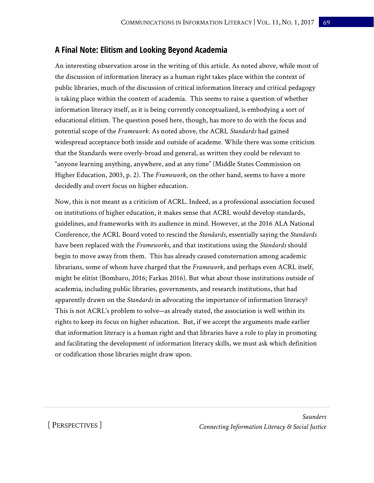# **A Final Note: Elitism and Looking Beyond Academia**

An interesting observation arose in the writing of this article. As noted above, while most of the discussion of information literacy as a human right takes place within the context of public libraries, much of the discussion of critical information literacy and critical pedagogy is taking place within the context of academia. This seems to raise a question of whether information literacy itself, as it is being currently conceptualized, is embodying a sort of educational elitism. The question posed here, though, has more to do with the focus and potential scope of the *Framework*. As noted above, the ACRL *Standards* had gained widespread acceptance both inside and outside of academe. While there was some criticism that the Standards were overly-broad and general, as written they could be relevant to "anyone learning anything, anywhere, and at any time" (Middle States Commission on Higher Education, 2003, p. 2). The *Framework*, on the other hand, seems to have a more decidedly and overt focus on higher education.

Now, this is not meant as a criticism of ACRL. Indeed, as a professional association focused on institutions of higher education, it makes sense that ACRL would develop standards, guidelines, and frameworks with its audience in mind. However, at the 2016 ALA National Conference, the ACRL Board voted to rescind the *Standards*, essentially saying the *Standards* have been replaced with the *Frameworks,* and that institutions using the *Standards* should begin to move away from them. This has already caused consternation among academic librarians, some of whom have charged that the *Framework*, and perhaps even ACRL itself, might be elitist (Bombaro, 2016; Farkas 2016). But what about those institutions outside of academia, including public libraries, governments, and research institutions, that had apparently drawn on the *Standards* in advocating the importance of information literacy? This is not ACRL's problem to solve—as already stated, the association is well within its rights to keep its focus on higher education. But, if we accept the arguments made earlier that information literacy is a human right and that libraries have a role to play in promoting and facilitating the development of information literacy skills, we must ask which definition or codification those libraries might draw upon.

[ PERSPECTIVES ]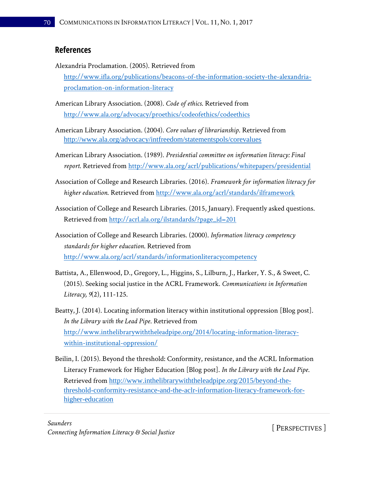## **References**

- Alexandria Proclamation. (2005). Retrieved from [http://www.ifla.org/publications/beacons-of-the-information-society-the-alexandria](http://www.ifla.org/publications/beacons-of-the-information-society-the-alexandria-proclamation-on-information-literacy)[proclamation-on-information-literacy](http://www.ifla.org/publications/beacons-of-the-information-society-the-alexandria-proclamation-on-information-literacy)
- American Library Association. (2008). *Code of ethics*. Retrieved from <http://www.ala.org/advocacy/proethics/codeofethics/codeethics>
- American Library Association. (2004). *Core values of librarianship*. Retrieved from <http://www.ala.org/advocacy/intfreedom/statementspols/corevalues>
- American Library Association. (1989). *Presidential committee on information literacy: Final report*. Retrieved from<http://www.ala.org/acrl/publications/whitepapers/presidential>
- Association of College and Research Libraries. (2016). *Framework for information literacy for higher education*. Retrieved from<http://www.ala.org/acrl/standards/ilframework>
- Association of College and Research Libraries. (2015, January). Frequently asked questions. Retrieved from [http://acrl.ala.org/ilstandards/?page\\_id=201](http://acrl.ala.org/ilstandards/?page_id=201)
- Association of College and Research Libraries. (2000). *Information literacy competency standards for higher education*. Retrieved from <http://www.ala.org/acrl/standards/informationliteracycompetency>
- Battista, A., Ellenwood, D., Gregory, L., Higgins, S., Lilburn, J., Harker, Y. S., & Sweet, C. (2015). Seeking social justice in the ACRL Framework. *Communications in Information Literacy, 9*(2), 111-125.
- Beatty, J. (2014). Locating information literacy within institutional oppression [Blog post]. *In the Library with the Lead Pipe*. Retrieved from [http://www.inthelibrarywiththeleadpipe.org/2014/locating-information-literacy](http://www.inthelibrarywiththeleadpipe.org/2014/locating-information-literacy-within-institutional-oppression/)[within-institutional-oppression/](http://www.inthelibrarywiththeleadpipe.org/2014/locating-information-literacy-within-institutional-oppression/)
- Beilin, I. (2015). Beyond the threshold: Conformity, resistance, and the ACRL Information Literacy Framework for Higher Education [Blog post]. *In the Library with the Lead Pipe*. Retrieved from [http://www.inthelibrarywiththeleadpipe.org/2015/beyond-the](http://www.inthelibrarywiththeleadpipe.org/2015/beyond-the-threshold-conformity-resistance-and-the-aclr-information-literacy-framework-for-higher-education)[threshold-conformity-resistance-and-the-aclr-information-literacy-framework-for](http://www.inthelibrarywiththeleadpipe.org/2015/beyond-the-threshold-conformity-resistance-and-the-aclr-information-literacy-framework-for-higher-education)[higher-education](http://www.inthelibrarywiththeleadpipe.org/2015/beyond-the-threshold-conformity-resistance-and-the-aclr-information-literacy-framework-for-higher-education)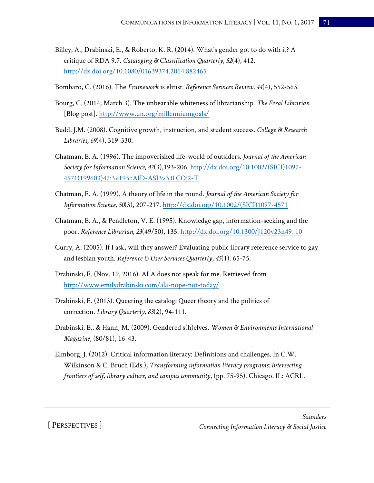- Billey, A., Drabinski, E., & Roberto, K. R. (2014). What's gender got to do with it? A critique of RDA 9.7. *Cataloging & Classification Quarterly, 52*(4), 412. <http://dx.doi.org/10.1080/01639374.2014.882465>
- Bombaro, C. (2016). The *Framework* is elitist. *Reference Services Review, 44*(4), 552-563.
- Bourg, C. (2014, March 3). The unbearable whiteness of librarianship. *The Feral Librarian* [Blog post].<http://www.un.org/millenniumgoals/>
- Budd, J.M. (2008). Cognitive growth, instruction, and student success. *College & Research Libraries, 69*(4), 319-330.
- Chatman, E. A. (1996). The impoverished life-world of outsiders. *Journal of the American Society for Information Science, 47*(3),193-206. [http://dx.doi.org/10.1002/\(SICI\)1097-](http://dx.doi.org/10.1002/(SICI)1097-4571(199603)47:3%3c193::AID-ASI3%3e3.0.CO;2-T) [4571\(199603\)47:3<193::AID-ASI3>3.0.CO;2-T](http://dx.doi.org/10.1002/(SICI)1097-4571(199603)47:3%3c193::AID-ASI3%3e3.0.CO;2-T)
- Chatman, E. A. (1999). A theory of life in the round. *Journal of the American Society for Information Science, 50*(3), 207-217. [http://dx.doi.org/10.1002/\(SICI\)1097-4571](http://dx.doi.org/10.1002/(SICI)1097-4571)
- Chatman, E. A., & Pendleton, V. E. (1995). Knowledge gap, information-seeking and the poor. *Reference Librarian, 23*(49/50), 135. [http://dx.doi.org/10.1300/J120v23n49\\_10](http://dx.doi.org/10.1300/J120v23n49_10)
- Curry, A. (2005). If I ask, will they answer? Evaluating public library reference service to gay and lesbian youth. *Reference & User Services Quarterly*, *45*(1). 65-75.
- Drabinski, E. (Nov. 19, 2016). ALA does not speak for me. Retrieved from <http://www.emilydrabinski.com/ala-nope-not-today/>
- Drabinski, E. (2013). Queering the catalog: Queer theory and the politics of correction. *Library Quarterly, 83*(2), 94-111.
- Drabinski, E., & Hann, M. (2009). Gendered s(h)elves. *Women & Environments International Magazine*, (80/81), 16-43.
- Elmborg, J. (2012). Critical information literacy: Definitions and challenges. In C.W. Wilkinson & C. Bruch (Eds.), *Transforming information literacy programs: Intersecting frontiers of self, library culture, and campus community*, (pp. 75-95). Chicago, IL: ACRL.

[ PERSPECTIVES ]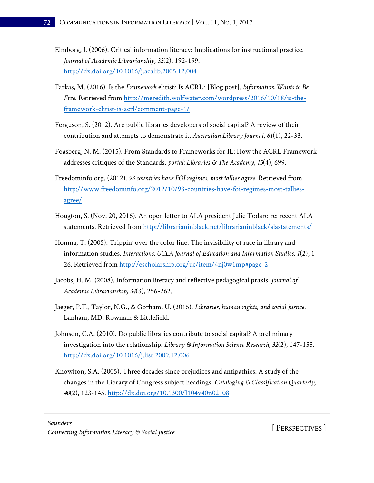- Elmborg, J. (2006). Critical information literacy: Implications for instructional practice. *Journal of Academic Librarianship, 32*(2), 192-199. <http://dx.doi.org/10.1016/j.acalib.2005.12.004>
- Farkas, M. (2016). Is the *Framework* elitist? Is ACRL? [Blog post]. *Information Wants to Be Free*. Retrieved from [http://meredith.wolfwater.com/wordpress/2016/10/18/is-the](http://meredith.wolfwater.com/wordpress/2016/10/18/is-the-framework-elitist-is-acrl/comment-page-1/)[framework-elitist-is-acrl/comment-page-1/](http://meredith.wolfwater.com/wordpress/2016/10/18/is-the-framework-elitist-is-acrl/comment-page-1/)
- Ferguson, S. (2012). Are public libraries developers of social capital? A review of their contribution and attempts to demonstrate it. *Australian Library Journal*, *61*(1), 22-33.
- Foasberg, N. M. (2015). From Standards to Frameworks for IL: How the ACRL Framework addresses critiques of the Standards. *portal: Libraries & The Academy, 15*(4), 699.
- Freedominfo.org. (2012). *93 countries have FOI regimes, most tallies agree*. Retrieved from [http://www.freedominfo.org/2012/10/93-countries-have-foi-regimes-most-tallies](http://www.freedominfo.org/2012/10/93-countries-have-foi-regimes-most-tallies-agree/)[agree/](http://www.freedominfo.org/2012/10/93-countries-have-foi-regimes-most-tallies-agree/)
- Hougton, S. (Nov. 20, 2016). An open letter to ALA president Julie Todaro re: recent ALA statements. Retrieved from<http://librarianinblack.net/librarianinblack/alastatements/>
- Honma, T. (2005). Trippin' over the color line: The invisibility of race in library and information studies. *Interactions: UCLA Journal of Education and Information Studies, 1*(2), 1- 26. Retrieved from<http://escholarship.org/uc/item/4nj0w1mp#page-2>
- Jacobs, H. M. (2008). Information literacy and reflective pedagogical praxis. *Journal of Academic Librarianship, 34*(3), 256-262.
- Jaeger, P.T., Taylor, N.G., & Gorham, U. (2015). *Libraries, human rights, and social justice*. Lanham, MD: Rowman & Littlefield.
- Johnson, C.A. (2010). Do public libraries contribute to social capital? A preliminary investigation into the relationship. *Library & Information Science Research, 32*(2), 147-155. <http://dx.doi.org/10.1016/j.lisr.2009.12.006>
- Knowlton, S.A. (2005). Three decades since prejudices and antipathies: A study of the changes in the Library of Congress subject headings. *Cataloging & Classification Quarterly, 40*(2), 123-145. [http://dx.doi.org/10.1300/J104v40n02\\_08](http://dx.doi.org/10.1300/J104v40n02_08)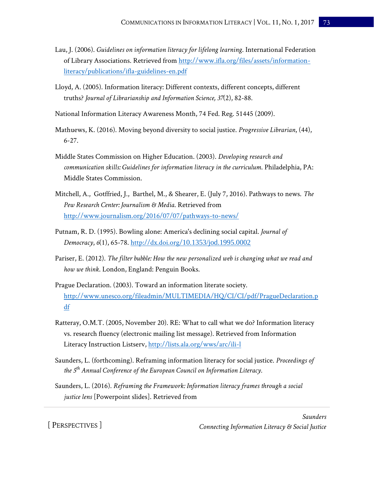- Lau, J. (2006). *Guidelines on information literacy for lifelong learning*. International Federation of Library Associations. Retrieved from [http://www.ifla.org/files/assets/information](http://www.ifla.org/files/assets/information-literacy/publications/ifla-guidelines-en.pdf)[literacy/publications/ifla-guidelines-en.pdf](http://www.ifla.org/files/assets/information-literacy/publications/ifla-guidelines-en.pdf)
- Lloyd, A. (2005). Information literacy: Different contexts, different concepts, different truths? *Journal of Librarianship and Information Science, 37*(2), 82-88.
- National Information Literacy Awareness Month, 74 Fed. Reg. 51445 (2009).
- Mathuews, K. (2016). Moving beyond diversity to social justice. *Progressive Librarian*, (44), 6-27.
- Middle States Commission on Higher Education. (2003). *Developing research and communication skills: Guidelines for information literacy in the curriculum*. Philadelphia, PA: Middle States Commission.
- Mitchell, A., Gotffried, J., Barthel, M., & Shearer, E. (July 7, 2016). Pathways to news. *The Pew Research Center: Journalism & Media*. Retrieved from <http://www.journalism.org/2016/07/07/pathways-to-news/>
- Putnam, R. D. (1995). Bowling alone: America's declining social capital. *Journal of Democracy*, *6*(1), 65-78. http://dx.doi.org/[10.1353/jod.1995.0002](http://dx.doi.org/10.1353/jod.1995.0002)
- Pariser, E. (2012). *The filter bubble: How the new personalized web is changing what we read and how we think*. London, England: Penguin Books.
- Prague Declaration. (2003). Toward an information literate society. [http://www.unesco.org/fileadmin/MULTIMEDIA/HQ/CI/CI/pdf/PragueDeclaration.p](http://www.unesco.org/fileadmin/MULTIMEDIA/HQ/CI/CI/pdf/PragueDeclaration.pdf) [df](http://www.unesco.org/fileadmin/MULTIMEDIA/HQ/CI/CI/pdf/PragueDeclaration.pdf)
- Ratteray, O.M.T. (2005, November 20). RE: What to call what we do? Information literacy vs. research fluency (electronic mailing list message). Retrieved from Information Literacy Instruction Listserv,<http://lists.ala.org/wws/arc/ili-l>
- Saunders, L. (forthcoming). Reframing information literacy for social justice. *Proceedings of the 5th Annual Conference of the European Council on Information Literacy.*
- Saunders, L. (2016). *Reframing the Framework: Information literacy frames through a social justice lens* [Powerpoint slides]. Retrieved from

[ PERSPECTIVES ]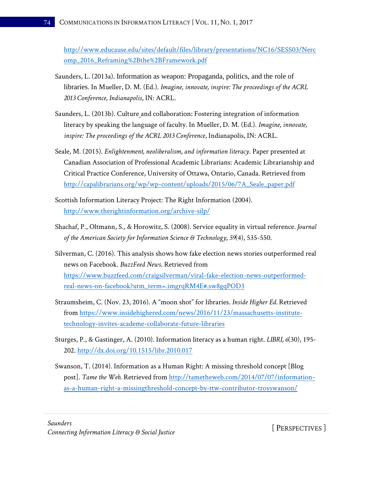[http://www.educause.edu/sites/default/files/library/presentations/NC16/SESS03/Nerc](http://www.educause.edu/sites/default/files/library/presentations/NC16/SESS03/Nercomp_2016_Reframing%2Bthe%2BFramework.pdf) [omp\\_2016\\_Reframing%2Bthe%2BFramework.pdf](http://www.educause.edu/sites/default/files/library/presentations/NC16/SESS03/Nercomp_2016_Reframing%2Bthe%2BFramework.pdf)

- Saunders, L. (2013a). Information as weapon: Propaganda, politics, and the role of libraries. In Mueller, D. M. (Ed.). *Imagine, innovate, inspire: The proceedings of the ACRL 2013 Conference, Indianapolis*, IN: ACRL.
- Saunders, L. (2013b). Culture and collaboration: Fostering integration of information literacy by speaking the language of faculty. In Mueller, D. M. (Ed.). *Imagine, innovate, inspire: The proceedings of the ACRL 2013 Conference*, Indianapolis, IN: ACRL.
- Seale, M. (2015). *Enlightenment, neoliberalism, and information literacy*. Paper presented at Canadian Association of Professional Academic Librarians: Academic Librarianship and Critical Practice Conference, University of Ottawa, Ontario, Canada. Retrieved from [http://capalibrarians.org/wp/wp-content/uploads/2015/06/7A\\_Seale\\_paper.pdf](http://capalibrarians.org/wp/wp-content/uploads/2015/06/7A_Seale_paper.pdf)
- Scottish Information Literacy Project: The Right Information (2004). <http://www.therightinformation.org/archive-silp/>
- Shachaf, P., Oltmann, S., & Horowitz, S. (2008). Service equality in virtual reference*. Journal of the American Society for Information Science & Technology, 59*(4), 535-550.
- Silverman, C. (2016). This analysis shows how fake election news stories outperformed real news on Facebook. *BuzzFeed News*. Retrieved from [https://www.buzzfeed.com/craigsilverman/viral-fake-election-news-outperformed](https://www.buzzfeed.com/craigsilverman/viral-fake-election-news-outperformed-real-news-on-facebook?utm_term=.imgrqRM4E#.sw8gqPOD3)[real-news-on-facebook?utm\\_term=.imgrqRM4E#.sw8gqPOD3](https://www.buzzfeed.com/craigsilverman/viral-fake-election-news-outperformed-real-news-on-facebook?utm_term=.imgrqRM4E#.sw8gqPOD3)
- Straumsheim, C. (Nov. 23, 2016). A "moon shot" for libraries. *Inside Higher Ed.* Retrieved from [https://www.insidehighered.com/news/2016/11/23/massachusetts-institute](https://www.insidehighered.com/news/2016/11/23/massachusetts-institute-technology-invites-academe-collaborate-future-libraries)[technology-invites-academe-collaborate-future-libraries](https://www.insidehighered.com/news/2016/11/23/massachusetts-institute-technology-invites-academe-collaborate-future-libraries)
- Sturges, P., & Gastinger, A. (2010). Information literacy as a human right. *LIBRI, 6*(30), 195- 202.<http://dx.doi.org/10.1515/libr.2010.017>
- Swanson, T. (2014). Information as a Human Right: A missing threshold concept [Blog post]. *Tame the Web*. Retrieved from [http://tametheweb.com/2014/07/07/information](http://tametheweb.com/2014/07/07/information-as-a-human-right-a-missingthreshold-concept-by-ttw-contributor-troyswanson/)[as-a-human-right-a-missingthreshold-concept-by-ttw-contributor-troyswanson/](http://tametheweb.com/2014/07/07/information-as-a-human-right-a-missingthreshold-concept-by-ttw-contributor-troyswanson/)